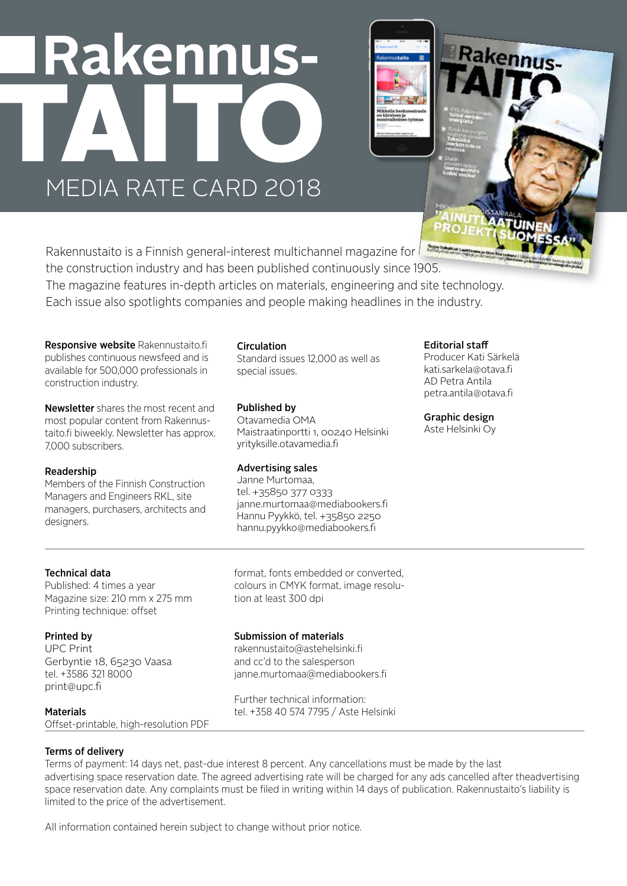# Rakennus-MEDIA PATE CAPD 2018 MEDIA RATE CARD 2018



Rakennustaito is a Finnish general-interest multichannel magazine for  $\Box$ the construction industry and has been published continuously since 1905. The magazine features in-depth articles on materials, engineering and site technology. Each issue also spotlights companies and people making headlines in the industry.

Responsive website Rakennustaito.fi publishes continuous newsfeed and is available for 500,000 professionals in construction industry.

Newsletter shares the most recent and most popular content from Rakennustaito.fi biweekly. Newsletter has approx. 7,000 subscribers.

#### Readership

Members of the Finnish Construction Managers and Engineers RKL, site managers, purchasers, architects and designers.

#### **Circulation**

Standard issues 12,000 as well as special issues.

#### Published by

Otavamedia OMA Maistraatinportti 1, 00240 Helsinki yrityksille.otavamedia.fi

#### Advertising sales

Janne Murtomaa, tel. +35850 377 0333 janne.murtomaa@mediabookers.fi Hannu Pyykkö, tel. +35850 2250 hannu.pyykko@mediabookers.fi

#### Editorial staff

Producer Kati Särkelä kati.sarkela@otava.fi AD Petra Antila petra.antila@otava.fi

akennus-

#### Graphic design

Aste Helsinki Oy

#### Technical data

Published: 4 times a year Magazine size: 210 mm x 275 mm Printing technique: offset

#### Printed by

UPC Print Gerbyntie 18, 65230 Vaasa tel. +3586 321 8000 print@upc.fi

#### format, fonts embedded or converted, colours in CMYK format, image resolution at least 300 dpi

#### Submission of materials

rakennustaito@astehelsinki.fi and cc'd to the salesperson janne.murtomaa@mediabookers.fi

Further technical information: tel. +358 40 574 7795 / Aste Helsinki

## **Materials**

Offset-printable, high-resolution PDF

#### Terms of delivery

Terms of payment: 14 days net, past-due interest 8 percent. Any cancellations must be made by the last advertising space reservation date. The agreed advertising rate will be charged for any ads cancelled after theadvertising space reservation date. Any complaints must be filed in writing within 14 days of publication. Rakennustaito's liability is limited to the price of the advertisement.

All information contained herein subject to change without prior notice.